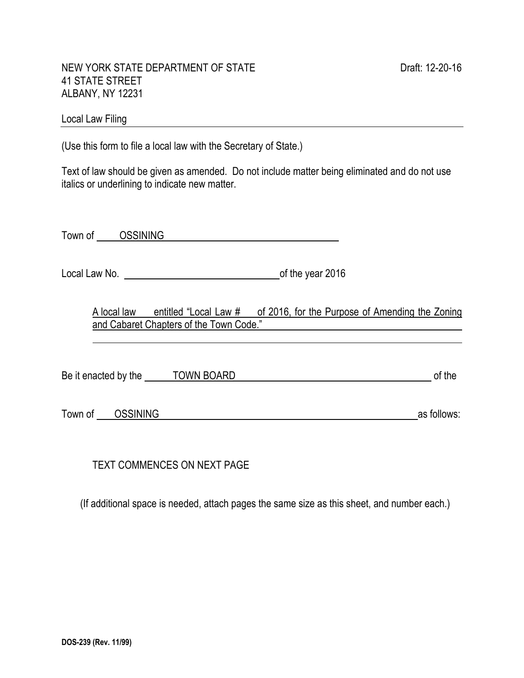l,

#### NEW YORK STATE DEPARTMENT OF STATE DRAFT DRAFT DRAFT: 12-20-16 41 STATE STREET ALBANY, NY 12231

# Local Law Filing **Example 20** No. 2014 19:30 19:30 19:30 19:30 19:30 19:30 19:30 19:30 19:30 19:30 19:30 19:30 19:30 19:30 19:30 19:30 19:30 19:30 19:30 19:30 19:30 19:30 19:30 19:30 19:30 19:30 19:30 19:30 19:30 19:30 19:

(Use this form to file a local law with the Secretary of State.)

Text of law should be given as amended. Do not include matter being eliminated and do not use italics or underlining to indicate new matter.

Town of GSSINING CONSTRUCTED AND TOWN OF THE ONLY A VEHICLE STATES OF THE ONLY A VEHICLE STATES OF THE ONLY A VEHICLE STATES OF THE ONLY A VEHICLE STATES OF THE ONLY A VEHICLE STATES OF THE ONLY A VEHICLE STATES OF THE ONL

Local Law No. <u>contains the year 2016</u> contained the year 2016

A local law entitled "Local Law # of 2016, for the Purpose of Amending the Zoning and Cabaret Chapters of the Town Code."

Be it enacted by the TOWN BOARD of the Second Second Second Second Second Second Second Second Second Second Second Second Second Second Second Second Second Second Second Second Second Second Second Second Second Second S

Town of CSSINING as follows:

TEXT COMMENCES ON NEXT PAGE

(If additional space is needed, attach pages the same size as this sheet, and number each.)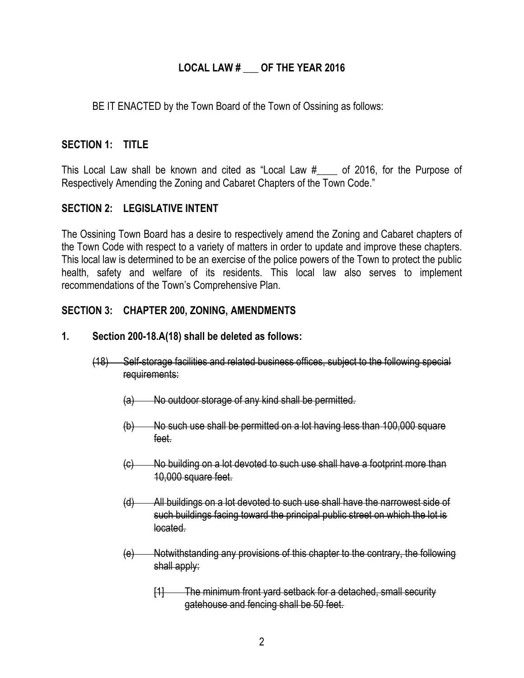## **LOCAL LAW # \_\_\_ OF THE YEAR 2016**

BE IT ENACTED by the Town Board of the Town of Ossining as follows:

## **SECTION 1: TITLE**

This Local Law shall be known and cited as "Local Law  $#$  of 2016, for the Purpose of Respectively Amending the Zoning and Cabaret Chapters of the Town Code."

# **SECTION 2: LEGISLATIVE INTENT**

The Ossining Town Board has a desire to respectively amend the Zoning and Cabaret chapters of the Town Code with respect to a variety of matters in order to update and improve these chapters. This local law is determined to be an exercise of the police powers of the Town to protect the public health, safety and welfare of its residents. This local law also serves to implement recommendations of the Town's Comprehensive Plan.

## **SECTION 3: CHAPTER 200, ZONING, AMENDMENTS**

#### **1. Section 200-18.A(18) shall be deleted as follows:**

- (18) Self-storage facilities and related business offices, subject to the following special requirements:
	- (a) No outdoor storage of any kind shall be permitted.
	- (b) No such use shall be permitted on a lot having less than 100,000 square feet.
	- (c) No building on a lot devoted to such use shall have a footprint more than 10,000 square feet.
	- (d) All buildings on a lot devoted to such use shall have the narrowest side of such buildings facing toward the principal public street on which the lot is located.
	- (e) Notwithstanding any provisions of this chapter to the contrary, the following shall apply:
		- [1] The minimum front yard setback for a detached, small security gatehouse and fencing shall be 50 feet.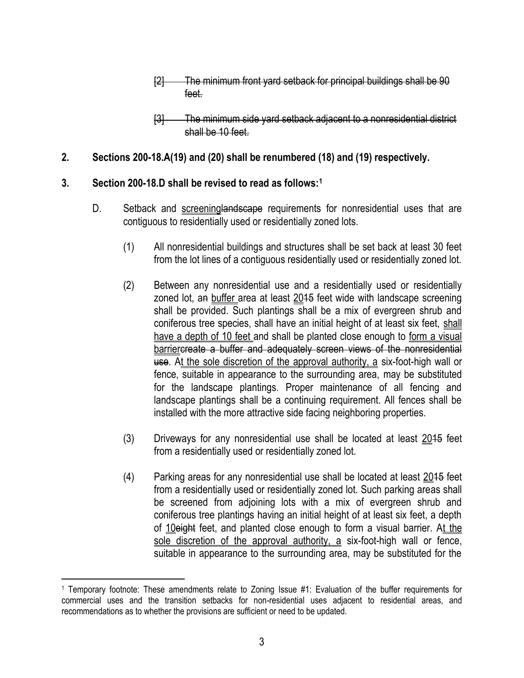- [2] The minimum front yard setback for principal buildings shall be 90 feet.
- [3] The minimum side yard setback adjacent to a nonresidential district shall be 10 feet.

# **2. Sections 200-18.A(19) and (20) shall be renumbered (18) and (19) respectively.**

# **3. Section 200-18.D shall be revised to read as follows:<sup>1</sup>**

- D. Setback and screeninglandscape requirements for nonresidential uses that are contiguous to residentially used or residentially zoned lots.
	- (1) All nonresidential buildings and structures shall be set back at least 30 feet from the lot lines of a contiguous residentially used or residentially zoned lot.
	- (2) Between any nonresidential use and a residentially used or residentially zoned lot, an buffer area at least  $2015$  feet wide with landscape screening shall be provided. Such plantings shall be a mix of evergreen shrub and coniferous tree species, shall have an initial height of at least six feet, shall have a depth of 10 feet and shall be planted close enough to form a visual barriercreate a buffer and adequately screen views of the nonresidential use. At the sole discretion of the approval authority, a six-foot-high wall or fence, suitable in appearance to the surrounding area, may be substituted for the landscape plantings. Proper maintenance of all fencing and landscape plantings shall be a continuing requirement. All fences shall be installed with the more attractive side facing neighboring properties.
	- (3) Driveways for any nonresidential use shall be located at least  $2015$  feet from a residentially used or residentially zoned lot.
	- (4) Parking areas for any nonresidential use shall be located at least 2015 feet from a residentially used or residentially zoned lot. Such parking areas shall be screened from adjoining lots with a mix of evergreen shrub and coniferous tree plantings having an initial height of at least six feet, a depth of 10eight feet, and planted close enough to form a visual barrier. At the sole discretion of the approval authority, a six-foot-high wall or fence, suitable in appearance to the surrounding area, may be substituted for the

<sup>1</sup> Temporary footnote: These amendments relate to Zoning Issue #1: Evaluation of the buffer requirements for commercial uses and the transition setbacks for non-residential uses adjacent to residential areas, and recommendations as to whether the provisions are sufficient or need to be updated.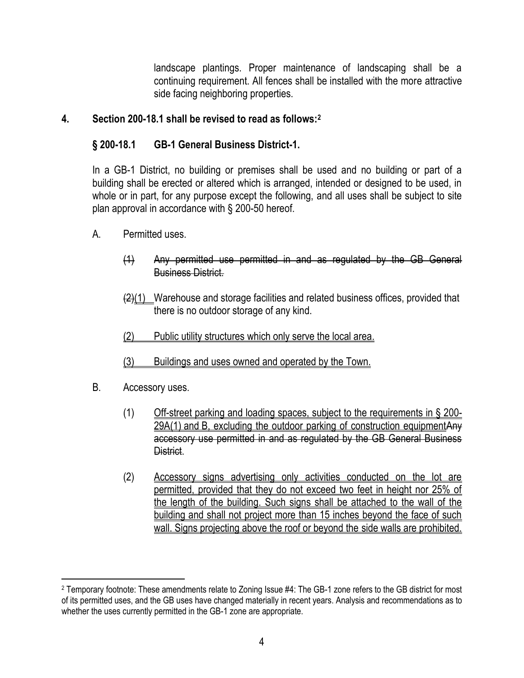landscape plantings. Proper maintenance of landscaping shall be a continuing requirement. All fences shall be installed with the more attractive side facing neighboring properties.

## **4. Section 200-18.1 shall be revised to read as follows:<sup>2</sup>**

# **§ [200-18.1](http://www.ecode360.com/8410865#8410865) [GB-1 General Business District-1.](http://www.ecode360.com/8410865#8410865)**

In a GB-1 District, no building or premises shall be used and no building or part of a building shall be erected or altered which is arranged, intended or designed to be used, in whole or in part, for any purpose except the following, and all uses shall be subject to site plan approval in accordance with § [200-50](http://www.ecode360.com/8411347#8411347) hereof.

- A. Permitted uses.
	- (1) Any permitted use permitted in and as regulated by the GB General Business District.
	- $\frac{2(1)}{2(1)}$  Warehouse and storage facilities and related business offices, provided that there is no outdoor storage of any kind.
	- (2) Public utility structures which only serve the local area.
	- (3) Buildings and uses owned and operated by the Town.
- [B.](http://www.ecode360.com/8410869#8410869) Accessory uses.

- (1) Off-street parking and loading spaces, subject to the requirements in § [200-](http://www.ecode360.com/8411069#8411069) [29A\(1\)](http://www.ecode360.com/8411069#8411069) and [B,](http://www.ecode360.com/8411083#8411083) excluding the outdoor parking of construction equipmentAny accessory use permitted in and as regulated by the GB General Business District.
- (2) Accessory signs advertising only activities conducted on the lot are permitted, provided that they do not exceed two feet in height nor 25% of the length of the building. Such signs shall be attached to the wall of the building and shall not project more than 15 inches beyond the face of such wall. Signs projecting above the roof or beyond the side walls are prohibited.

<sup>2</sup> Temporary footnote: These amendments relate to Zoning Issue #4: The GB-1 zone refers to the GB district for most of its permitted uses, and the GB uses have changed materially in recent years. Analysis and recommendations as to whether the uses currently permitted in the GB-1 zone are appropriate.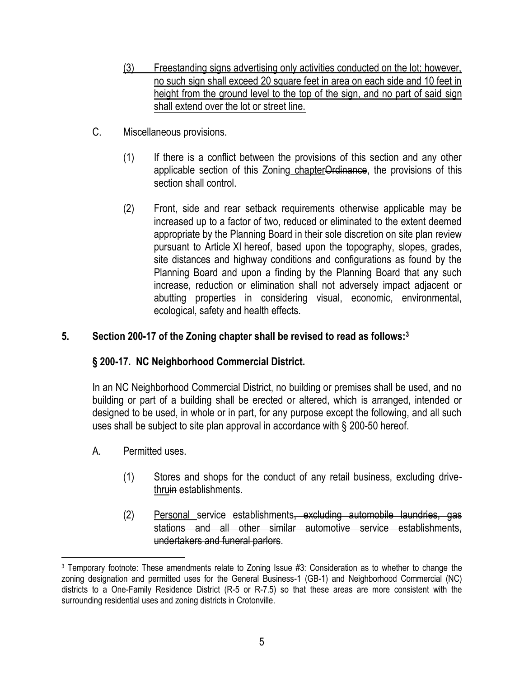- (3) Freestanding signs advertising only activities conducted on the lot; however, no such sign shall exceed 20 square feet in area on each side and 10 feet in height from the ground level to the top of the sign, and no part of said sign shall extend over the lot or street line.
- C. Miscellaneous provisions.
	- (1) If there is a conflict between the provisions of this section and any other applicable section of this Zoning chapterOrdinance, the provisions of this section shall control.
	- (2) Front, side and rear setback requirements otherwise applicable may be increased up to a factor of two, reduced or eliminated to the extent deemed appropriate by the Planning Board in their sole discretion on site plan review pursuant to Article [XI](http://www.ecode360.com/8411324#8411324) hereof, based upon the topography, slopes, grades, site distances and highway conditions and configurations as found by the Planning Board and upon a finding by the Planning Board that any such increase, reduction or elimination shall not adversely impact adjacent or abutting properties in considering visual, economic, environmental, ecological, safety and health effects.

## **5. Section 200-17 of the Zoning chapter shall be revised to read as follows:<sup>3</sup>**

# **§ 200-17. [NC Neighborhood Commercial District.](http://www.ecode360.com/8410865#8410778)**

In an NC Neighborhood Commercial District, no building or premises shall be used, and no building or part of a building shall be erected or altered, which is arranged, intended or designed to be used, in whole or in part, for any purpose except the following, and all such uses shall be subject to site plan approval in accordance with § [200-50](http://www.ecode360.com/8411347#8411347) hereof.

A. Permitted uses.

- (1) Stores and shops for the conduct of any retail business, excluding drivethruin establishments.
- (2) Personal service establishments<del>, excluding automobile laundries, gas</del> stations and all other similar automotive service establishments, undertakers and funeral parlors.

<sup>3</sup> Temporary footnote: These amendments relate to Zoning Issue #3: Consideration as to whether to change the zoning designation and permitted uses for the General Business-1 (GB-1) and Neighborhood Commercial (NC) districts to a One-Family Residence District (R-5 or R-7.5) so that these areas are more consistent with the surrounding residential uses and zoning districts in Crotonville.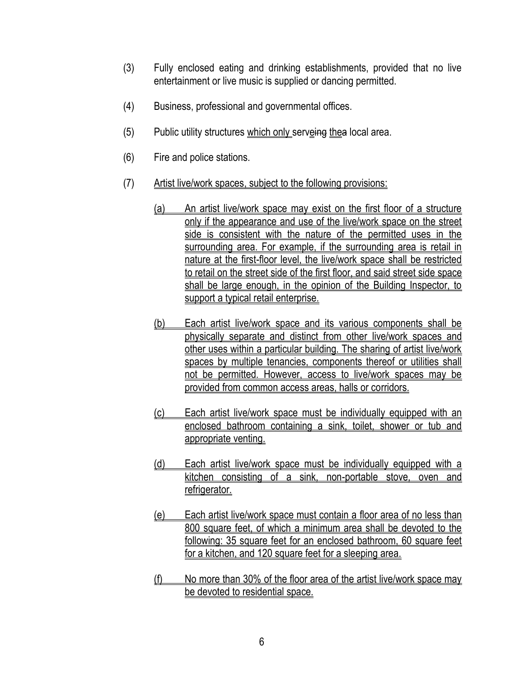- (3) Fully enclosed eating and drinking establishments, provided that no live entertainment or live music is supplied or dancing permitted.
- (4) Business, professional and governmental offices.
- (5) Public utility structures which only serveing thea local area.
- (6) Fire and police stations.
- (7) Artist live/work spaces, subject to the following provisions:
	- (a) An artist live/work space may exist on the first floor of a structure only if the appearance and use of the live/work space on the street side is consistent with the nature of the permitted uses in the surrounding area. For example, if the surrounding area is retail in nature at the first-floor level, the live/work space shall be restricted to retail on the street side of the first floor, and said street side space shall be large enough, in the opinion of the Building Inspector, to support a typical retail enterprise.
	- (b) Each artist live/work space and its various components shall be physically separate and distinct from other live/work spaces and other uses within a particular building. The sharing of artist live/work spaces by multiple tenancies, components thereof or utilities shall not be permitted. However, access to live/work spaces may be provided from common access areas, halls or corridors.
	- (c) Each artist live/work space must be individually equipped with an enclosed bathroom containing a sink, toilet, shower or tub and appropriate venting.
	- [\(d\)](http://www.ecode360.com/7066515#7066515) Each artist live/work space must be individually equipped with a kitchen consisting of a sink, non-portable stove, oven and refrigerator.
	- [\(e\)](http://www.ecode360.com/7066516#7066516) Each artist live/work space must contain a floor area of no less than 800 square feet, of which a minimum area shall be devoted to the following: 35 square feet for an enclosed bathroom, 60 square feet for a kitchen, and 120 square feet for a sleeping area.
	- [\(f\)](http://www.ecode360.com/7066517#7066517) No more than 30% of the floor area of the artist live/work space may be devoted to residential space.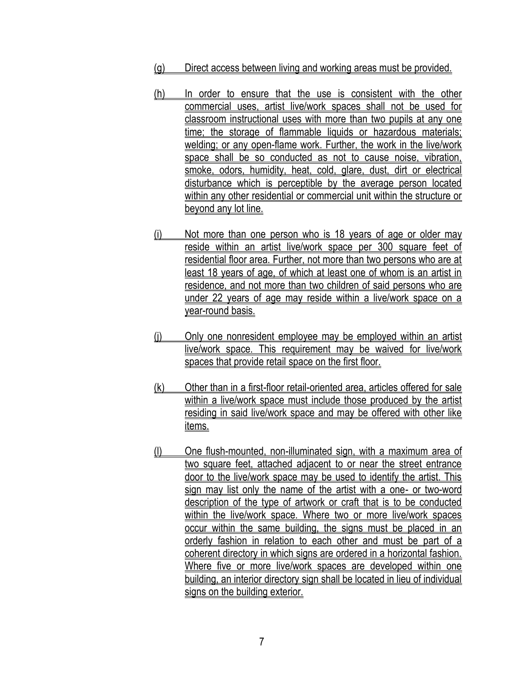- [\(g\)](http://www.ecode360.com/7066518#7066518) Direct access between living and working areas must be provided.
- [\(h\)](http://www.ecode360.com/7066519#7066519) In order to ensure that the use is consistent with the other commercial uses, artist live/work spaces shall not be used for classroom instructional uses with more than two pupils at any one time; the storage of flammable liquids or hazardous materials; welding; or any open-flame work. Further, the work in the live/work space shall be so conducted as not to cause noise, vibration, smoke, odors, humidity, heat, cold, glare, dust, dirt or electrical disturbance which is perceptible by the average person located within any other residential or commercial unit within the structure or beyond any lot line.
- (i) Not more than one person who is 18 years of age or older may reside within an artist live/work space per 300 square feet of residential floor area. Further, not more than two persons who are at least 18 years of age, of which at least one of whom is an artist in residence, and not more than two children of said persons who are under 22 years of age may reside within a live/work space on a year-round basis.
- [\(j\)](http://www.ecode360.com/7066521#7066521) Only one nonresident employee may be employed within an artist live/work space. This requirement may be waived for live/work spaces that provide retail space on the first floor.
- [\(k\)](http://www.ecode360.com/7066522#7066522) Other than in a first-floor retail-oriented area, articles offered for sale within a live/work space must include those produced by the artist residing in said live/work space and may be offered with other like items.
- [\(l\)](http://www.ecode360.com/7066523#7066523) One flush-mounted, non-illuminated sign, with a maximum area of two square feet, attached adjacent to or near the street entrance door to the live/work space may be used to identify the artist. This sign may list only the name of the artist with a one- or two-word description of the type of artwork or craft that is to be conducted within the live/work space. Where two or more live/work spaces occur within the same building, the signs must be placed in an orderly fashion in relation to each other and must be part of a coherent directory in which signs are ordered in a horizontal fashion. Where five or more live/work spaces are developed within one building, an interior directory sign shall be located in lieu of individual signs on the building exterior.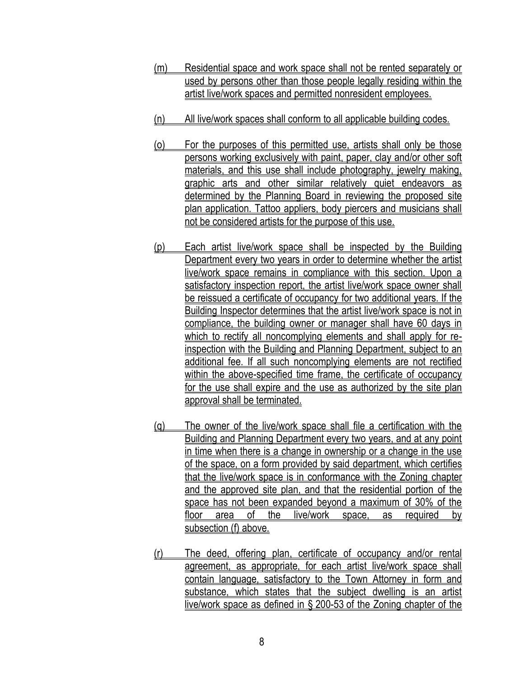- (m) Residential space and work space shall not be rented separately or used by persons other than those people legally residing within the artist live/work spaces and permitted nonresident employees.
- [\(n\)](http://www.ecode360.com/7066526#7066526) All live/work spaces shall conform to all applicable building codes.
- [\(o\)](http://www.ecode360.com/7066527#7066527) For the purposes of this permitted use, artists shall only be those persons working exclusively with paint, paper, clay and/or other soft materials, and this use shall include photography, jewelry making, graphic arts and other similar relatively quiet endeavors as determined by the Planning Board in reviewing the proposed site plan application. Tattoo appliers, body piercers and musicians shall not be considered artists for the purpose of this use.
- [\(p\)](http://www.ecode360.com/7066528#7066528) Each artist live/work space shall be inspected by the Building Department every two years in order to determine whether the artist live/work space remains in compliance with this section. Upon a satisfactory inspection report, the artist live/work space owner shall be reissued a certificate of occupancy for two additional years. If the Building Inspector determines that the artist live/work space is not in compliance, the building owner or manager shall have 60 days in which to rectify all noncomplying elements and shall apply for reinspection with the Building and Planning Department, subject to an additional fee. If all such noncomplying elements are not rectified within the above-specified time frame, the certificate of occupancy for the use shall expire and the use as authorized by the site plan approval shall be terminated.
- [\(q\)](http://www.ecode360.com/27287704#27287704) The owner of the live/work space shall file a certification with the Building and Planning Department every two years, and at any point in time when there is a change in ownership or a change in the use of the space, on a form provided by said department, which certifies that the live/work space is in conformance with the Zoning chapter and the approved site plan, and that the residential portion of the space has not been expanded beyond a maximum of 30% of the floor area of the live/work space, as required by subsection (f) above.
- [\(r\)](http://www.ecode360.com/27287705#27287705) The deed, offering plan, certificate of occupancy and/or rental agreement, as appropriate, for each artist live/work space shall contain language, satisfactory to the Town Attorney in form and substance, which states that the subject dwelling is an artist live/work space as defined in § [200-53](http://www.ecode360.com/7067091#7067091) of the Zoning chapter of the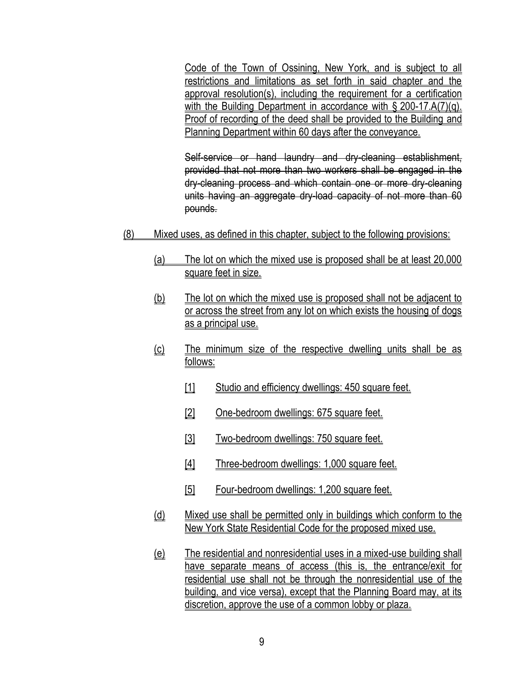Code of the Town of Ossining, New York, and is subject to all restrictions and limitations as set forth in said chapter and the approval resolution(s), including the requirement for a certification with the Building Department in accordance with § [200-17.A\(7\)\(q\).](http://www.ecode360.com/27287704#27287704) Proof of recording of the deed shall be provided to the Building and Planning Department within 60 days after the conveyance.

Self-service or hand laundry and dry-cleaning establishment, provided that not more than two workers shall be engaged in the dry-cleaning process and which contain one or more dry-cleaning units having an aggregate dry-load capacity of not more than 60 pounds.

- (8) Mixed uses, as defined in this chapter, subject to the following provisions:
	- (a) The lot on which the mixed use is proposed shall be at least 20,000 square feet in size.
	- (b) The lot on which the mixed use is proposed shall not be adjacent to or across the street from any lot on which exists the housing of dogs as a principal use.
	- (c) The minimum size of the respective dwelling units shall be as follows:
		- [1] Studio and efficiency dwellings: 450 square feet.
		- [2] One-bedroom dwellings: 675 square feet.
		- [3] Two-bedroom dwellings: 750 square feet.
		- [4] Three-bedroom dwellings: 1,000 square feet.
		- [5] Four-bedroom dwellings: 1,200 square feet.
	- (d) Mixed use shall be permitted only in buildings which conform to the New York State Residential Code for the proposed mixed use.
	- (e) The residential and nonresidential uses in a mixed-use building shall have separate means of access (this is, the entrance/exit for residential use shall not be through the nonresidential use of the building, and vice versa), except that the Planning Board may, at its discretion, approve the use of a common lobby or plaza.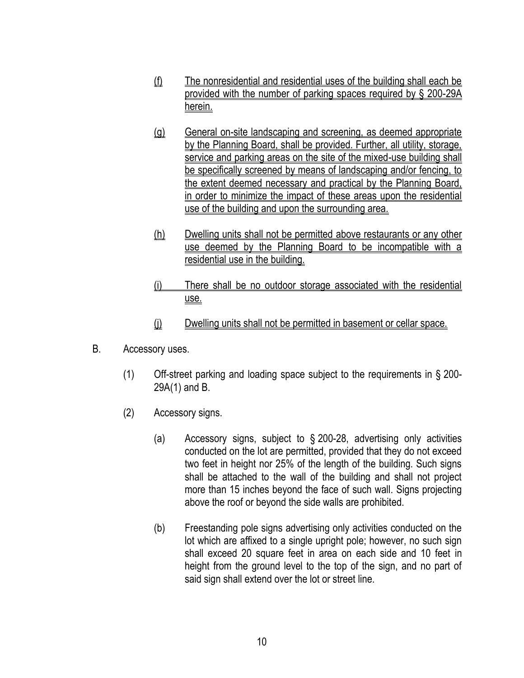- (f) The nonresidential and residential uses of the building shall each be provided with the number of parking spaces required by § 200-29A herein.
- (g) General on-site landscaping and screening, as deemed appropriate by the Planning Board, shall be provided. Further, all utility, storage, service and parking areas on the site of the mixed-use building shall be specifically screened by means of landscaping and/or fencing, to the extent deemed necessary and practical by the Planning Board, in order to minimize the impact of these areas upon the residential use of the building and upon the surrounding area.
- (h) Dwelling units shall not be permitted above restaurants or any other use deemed by the Planning Board to be incompatible with a residential use in the building.
- (i) There shall be no outdoor storage associated with the residential use.
- (i) Dwelling units shall not be permitted in basement or cellar space.
- B. Accessory uses.
	- (1) Off-street parking and loading space subject to the requirements in § [200-](http://www.ecode360.com/8411069#8411069) [29A\(1\)](http://www.ecode360.com/8411069#8411069) and [B.](http://www.ecode360.com/8411083#8411083)
	- (2) Accessory signs.
		- (a) Accessory signs, subject to § [200-28,](http://www.ecode360.com/8411058#8411058) advertising only activities conducted on the lot are permitted, provided that they do not exceed two feet in height nor 25% of the length of the building. Such signs shall be attached to the wall of the building and shall not project more than 15 inches beyond the face of such wall. Signs projecting above the roof or beyond the side walls are prohibited.
		- (b) Freestanding pole signs advertising only activities conducted on the lot which are affixed to a single upright pole; however, no such sign shall exceed 20 square feet in area on each side and 10 feet in height from the ground level to the top of the sign, and no part of said sign shall extend over the lot or street line.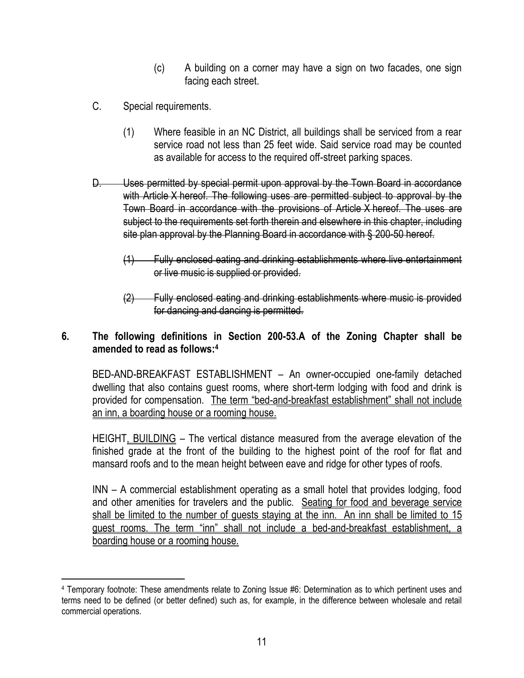- (c) A building on a corner may have a sign on two facades, one sign facing each street.
- [C.](http://www.ecode360.com/8410793#8410793) Special requirements.

 $\overline{a}$ 

- (1) Where feasible in an NC District, all buildings shall be serviced from a rear service road not less than 25 feet wide. Said service road may be counted as available for access to the required off-street parking spaces.
- D. Uses permitted by special permit upon approval by the Town Board in accordance with Article X hereof. The following uses are permitted subject to approval by the Town Board in accordance with the provisions of Article X hereof. The uses are subject to the requirements set forth therein and elsewhere in this chapter, including site plan approval by the Planning Board in accordance with § 200-50 hereof.
	- (1) Fully enclosed eating and drinking establishments where live entertainment or live music is supplied or provided.
	- (2) Fully enclosed eating and drinking establishments where music is provided for dancing and dancing is permitted.

## **6. The following definitions in Section 200-53.A of the Zoning Chapter shall be amended to read as follows:<sup>4</sup>**

BED-AND-BREAKFAST ESTABLISHMENT – An owner-occupied one-family detached dwelling that also contains guest rooms, where short-term lodging with food and drink is provided for compensation. The term "bed-and-breakfast establishment" shall not include an inn, a boarding house or a rooming house.

HEIGHT, BUILDING – The vertical distance measured from the average elevation of the finished grade at the front of the building to the highest point of the roof for flat and mansard roofs and to the mean height between eave and ridge for other types of roofs.

INN – A commercial establishment operating as a small hotel that provides lodging, food and other amenities for travelers and the public. Seating for food and beverage service shall be limited to the number of guests staying at the inn. An inn shall be limited to 15 guest rooms. The term "inn" shall not include a bed-and-breakfast establishment, a boarding house or a rooming house.

<sup>4</sup> Temporary footnote: These amendments relate to Zoning Issue #6: Determination as to which pertinent uses and terms need to be defined (or better defined) such as, for example, in the difference between wholesale and retail commercial operations.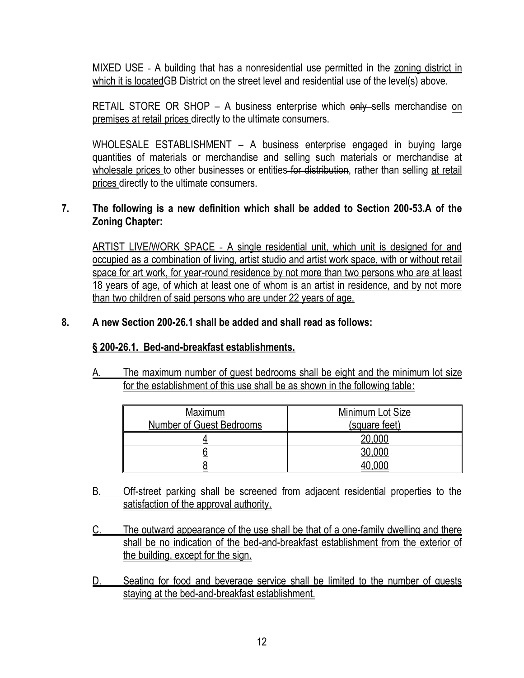[MIXED USE](http://www.ecode360.com/8411496#8411496) - A building that has a nonresidential use permitted in the zoning district in which it is located<del>GB District</del> on the street level and residential use of the level(s) above.

RETAIL STORE OR SHOP – A business enterprise which only sells merchandise on premises at retail prices directly to the ultimate consumers.

WHOLESALE ESTABLISHMENT – A business enterprise engaged in buying large quantities of materials or merchandise and selling such materials or merchandise at wholesale prices to other businesses or entities for distribution, rather than selling at retail prices directly to the ultimate consumers.

## **7. The following is a new definition which shall be added to Section 200-53.A of the Zoning Chapter:**

[ARTIST LIVE/WORK SPACE](http://www.ecode360.com/7067099#7067099) - A single residential unit, which unit is designed for and occupied as a combination of living, artist studio and artist work space, with or without retail space for art work, for year-round residence by not more than two persons who are at least 18 years of age, of which at least one of whom is an artist in residence, and by not more than two children of said persons who are under 22 years of age.

#### **8. A new Section 200-26.1 shall be added and shall read as follows:**

#### **§ 200-26.1. Bed-and-breakfast establishments.**

[A.](http://www.ecode360.com/7066536#7066537#7066537) The maximum number of guest bedrooms shall be eight and the minimum lot size for the establishment of this use shall be as shown in the following table:

| <u>Maximum</u><br><b>Number of Guest Bedrooms</b> | Minimum Lot Size<br>(square feet) |
|---------------------------------------------------|-----------------------------------|
|                                                   |                                   |
|                                                   |                                   |
|                                                   |                                   |

- [B.](http://www.ecode360.com/7066536#7066538#7066538) Off-street parking shall be screened from adjacent residential properties to the satisfaction of the approval authority.
- [C.](http://www.ecode360.com/7066536#7066539#7066539) The outward appearance of the use shall be that of a one-family dwelling and there shall be no indication of the bed-and-breakfast establishment from the exterior of the building, except for the sign.
- [D.](http://www.ecode360.com/7066536#7066540#7066540) Seating for food and beverage service shall be limited to the number of guests staying at the bed-and-breakfast establishment.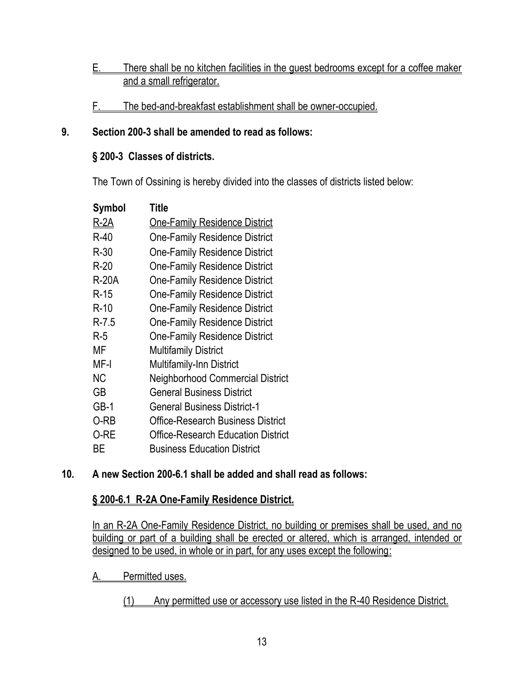# E. There shall be no kitchen facilities in the guest bedrooms except for a coffee maker and a small refrigerator.

F. The bed-and-breakfast establishment shall be owner-occupied.

# **9. Section 200-3 shall be amended to read as follows:**

# **§ [200-3 Classes of districts.](http://www.ecode360.com/8410584#8410584)**

The Town of Ossining is hereby divided into the classes of districts listed below:

| Symbol       | <b>Title</b>                              |
|--------------|-------------------------------------------|
| <u>R-2A</u>  | <b>One-Family Residence District</b>      |
| $R-40$       | <b>One-Family Residence District</b>      |
| $R-30$       | <b>One-Family Residence District</b>      |
| $R-20$       | <b>One-Family Residence District</b>      |
| <b>R-20A</b> | <b>One-Family Residence District</b>      |
| $R-15$       | <b>One-Family Residence District</b>      |
| $R-10$       | <b>One-Family Residence District</b>      |
| $R - 7.5$    | <b>One-Family Residence District</b>      |
| $R-5$        | <b>One-Family Residence District</b>      |
| МF           | <b>Multifamily District</b>               |
| MF-I         | <b>Multifamily-Inn District</b>           |
| <b>NC</b>    | <b>Neighborhood Commercial District</b>   |
| GВ           | <b>General Business District</b>          |
| GB-1         | <b>General Business District-1</b>        |
| 0-RB         | <b>Office-Research Business District</b>  |
| 0-RE         | <b>Office-Research Education District</b> |
| BЕ           | <b>Business Education District</b>        |

# **10. A new Section 200-6.1 shall be added and shall read as follows:**

# **§ [200-6.1 R-2A One-Family Residence District.](http://www.ecode360.com/8410718#8410603)**

In an R-2A One-Family Residence District, no building or premises shall be used, and no building or part of a building shall be erected or altered, which is arranged, intended or designed to be used, in whole or in part, for any uses except the following:

# A. Permitted uses.

(1) Any permitted use or accessory use listed in the R-40 Residence District.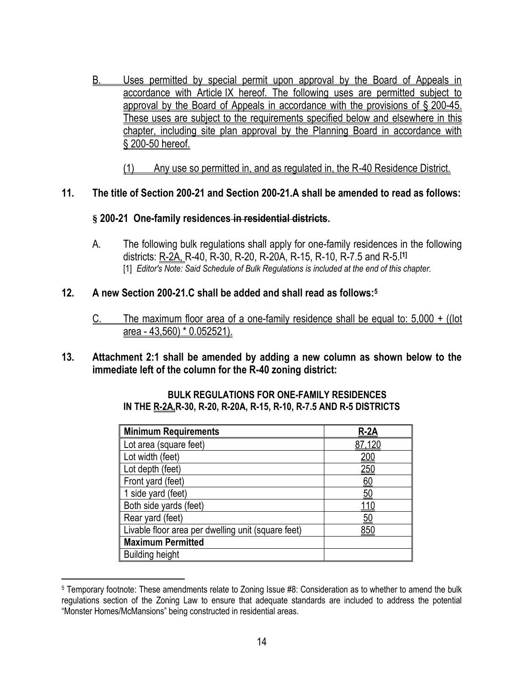B. Uses permitted by special permit upon approval by the Board of Appeals in accordance with Article [IX](http://www.ecode360.com/8411224#8411224) hereof. The following uses are permitted subject to approval by the Board of Appeals in accordance with the provisions of § [200-45.](http://www.ecode360.com/8411226#8411226) These uses are subject to the requirements specified below and elsewhere in this chapter, including site plan approval by the Planning Board in accordance with § [200-50](http://www.ecode360.com/8411347#8411347) hereof.

(1) Any use so permitted in, and as regulated in, the R-40 Residence District.

#### **11. The title of Section 200-21 and Section 200-21.A shall be amended to read as follows:**

#### **§ 200-21 [One-family residences](http://www.ecode360.com/8410973?highlight=impervious#8410973) in residential districts.**

A. The following bulk regulations shall apply for one-family residences in the following districts: R-2A, R-40, R-30, R-20, R-20A, R-15, R-10, R-7.5 and R-5.**[\[1\]](http://ecode360.com/8410973#ft15255767-1)** [\[1\]](http://ecode360.com/8410973#ref15255767-1) *Editor's Note: Said Schedule of [Bulk Regulations](http://ecode360.com/attachment/OS0797/OS0797-200b%20Bulk%20Regulations.pdf) is included at the end of this chapter.*

#### **12. A new Section 200-21.C shall be added and shall read as follows:<sup>5</sup>**

- C. The maximum floor area of a one-family residence shall be equal to: 5,000 + ((lot area - 43,560) \* 0.052521).
- **13. Attachment 2:1 shall be amended by adding a new column as shown below to the immediate left of the column for the R-40 zoning district:**

#### **BULK REGULATIONS FOR ONE-FAMILY RESIDENCES IN THE R-2A,R-30, R-20, R-20A, R-15, R-10, R-7.5 AND R-5 DISTRICTS**

| <b>Minimum Requirements</b>                        | $R-2A$      |
|----------------------------------------------------|-------------|
| Lot area (square feet)                             | 87,120      |
| Lot width (feet)                                   | <u> 200</u> |
| Lot depth (feet)                                   | <u> 250</u> |
| Front yard (feet)                                  | <u>60</u>   |
| 1 side yard (feet)                                 | <u>50</u>   |
| Both side yards (feet)                             | 110         |
| Rear yard (feet)                                   | <u>50</u>   |
| Livable floor area per dwelling unit (square feet) | 850         |
| <b>Maximum Permitted</b>                           |             |
| <b>Building height</b>                             |             |

<sup>5</sup> Temporary footnote: These amendments relate to Zoning Issue #8: Consideration as to whether to amend the bulk regulations section of the Zoning Law to ensure that adequate standards are included to address the potential "Monster Homes/McMansions" being constructed in residential areas.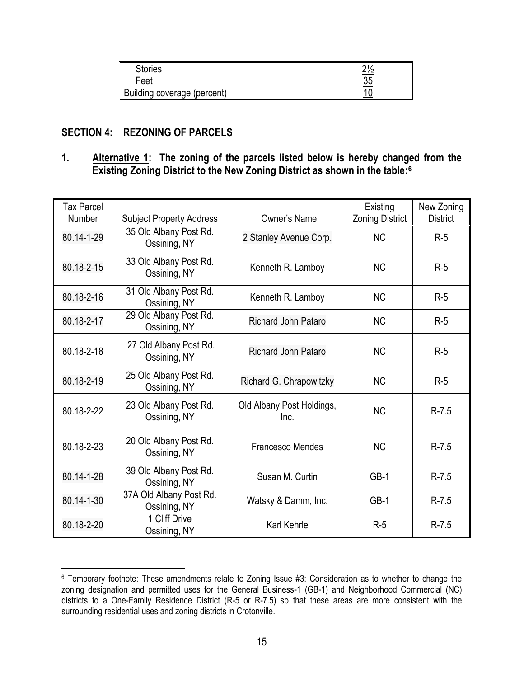| <b>Stories</b>              |  |
|-----------------------------|--|
| Feet                        |  |
| Building coverage (percent) |  |

#### **SECTION 4: REZONING OF PARCELS**

 $\overline{a}$ 

#### **1. Alternative 1: The zoning of the parcels listed below is hereby changed from the Existing Zoning District to the New Zoning District as shown in the table:<sup>6</sup>**

| Tax Parcel<br>Number | <b>Subject Property Address</b>         | Owner's Name                      | Existing<br><b>Zoning District</b> | New Zoning<br><b>District</b> |
|----------------------|-----------------------------------------|-----------------------------------|------------------------------------|-------------------------------|
| 80.14-1-29           | 35 Old Albany Post Rd.<br>Ossining, NY  | 2 Stanley Avenue Corp.            | <b>NC</b>                          | $R-5$                         |
| 80.18-2-15           | 33 Old Albany Post Rd.<br>Ossining, NY  | Kenneth R. Lamboy                 | <b>NC</b>                          | $R-5$                         |
| 80.18-2-16           | 31 Old Albany Post Rd.<br>Ossining, NY  | Kenneth R. Lamboy                 | <b>NC</b>                          | $R-5$                         |
| 80.18-2-17           | 29 Old Albany Post Rd.<br>Ossining, NY  | <b>Richard John Pataro</b>        | <b>NC</b>                          | $R-5$                         |
| 80.18-2-18           | 27 Old Albany Post Rd.<br>Ossining, NY  | <b>Richard John Pataro</b>        | <b>NC</b>                          | $R-5$                         |
| 80.18-2-19           | 25 Old Albany Post Rd.<br>Ossining, NY  | Richard G. Chrapowitzky           | <b>NC</b>                          | $R-5$                         |
| 80.18-2-22           | 23 Old Albany Post Rd.<br>Ossining, NY  | Old Albany Post Holdings,<br>Inc. | <b>NC</b>                          | $R - 7.5$                     |
| 80.18-2-23           | 20 Old Albany Post Rd.<br>Ossining, NY  | <b>Francesco Mendes</b>           | <b>NC</b>                          | $R - 7.5$                     |
| 80.14-1-28           | 39 Old Albany Post Rd.<br>Ossining, NY  | Susan M. Curtin                   | $GB-1$                             | $R - 7.5$                     |
| 80.14-1-30           | 37A Old Albany Post Rd.<br>Ossining, NY | Watsky & Damm, Inc.               | $GB-1$                             | $R - 7.5$                     |
| 80.18-2-20           | 1 Cliff Drive<br>Ossining, NY           | Karl Kehrle                       | $R-5$                              | $R - 7.5$                     |

<sup>6</sup> Temporary footnote: These amendments relate to Zoning Issue #3: Consideration as to whether to change the zoning designation and permitted uses for the General Business-1 (GB-1) and Neighborhood Commercial (NC) districts to a One-Family Residence District (R-5 or R-7.5) so that these areas are more consistent with the surrounding residential uses and zoning districts in Crotonville.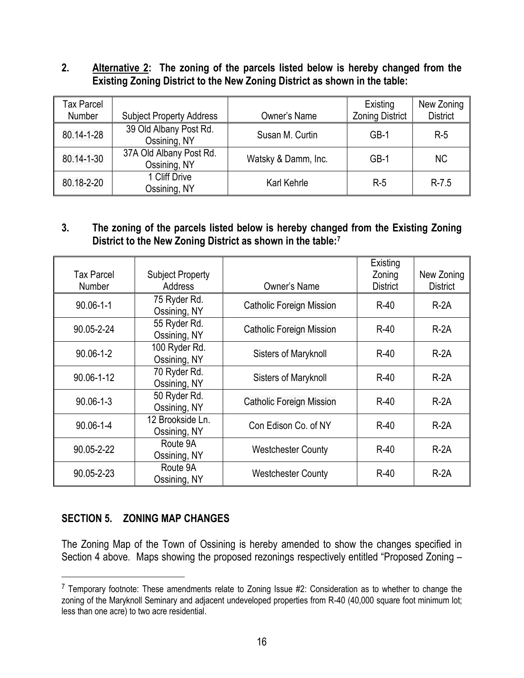#### **2. Alternative 2: The zoning of the parcels listed below is hereby changed from the Existing Zoning District to the New Zoning District as shown in the table:**

| Tax Parcel<br>Number | <b>Subject Property Address</b>         | Owner's Name        | Existing<br><b>Zoning District</b> | New Zoning<br><b>District</b> |
|----------------------|-----------------------------------------|---------------------|------------------------------------|-------------------------------|
| 80.14-1-28           | 39 Old Albany Post Rd.<br>Ossining, NY  | Susan M. Curtin     | $GB-1$                             | $R-5$                         |
| 80.14-1-30           | 37A Old Albany Post Rd.<br>Ossining, NY | Watsky & Damm, Inc. | $GB-1$                             | NC.                           |
| 80.18-2-20           | 1 Cliff Drive<br>Ossining, NY           | Karl Kehrle         | $R-5$                              | $R - 7.5$                     |

## **3. The zoning of the parcels listed below is hereby changed from the Existing Zoning District to the New Zoning District as shown in the table:<sup>7</sup>**

| Tax Parcel<br><b>Number</b> | <b>Subject Property</b><br><b>Address</b> | Owner's Name                    | Existing<br>Zoning<br><b>District</b> | New Zoning<br><b>District</b> |
|-----------------------------|-------------------------------------------|---------------------------------|---------------------------------------|-------------------------------|
| $90.06 - 1 - 1$             | 75 Ryder Rd.<br>Ossining, NY              | <b>Catholic Foreign Mission</b> | $R-40$                                | $R-2A$                        |
| 90.05-2-24                  | 55 Ryder Rd.<br>Ossining, NY              | <b>Catholic Foreign Mission</b> | $R-40$                                | $R-2A$                        |
| $90.06 - 1 - 2$             | 100 Ryder Rd.<br>Ossining, NY             | Sisters of Maryknoll            | $R-40$                                | $R-2A$                        |
| 90.06-1-12                  | 70 Ryder Rd.<br>Ossining, NY              | Sisters of Maryknoll            | $R-40$                                | $R-2A$                        |
| $90.06 - 1 - 3$             | 50 Ryder Rd.<br>Ossining, NY              | <b>Catholic Foreign Mission</b> | $R-40$                                | $R-2A$                        |
| 90.06-1-4                   | 12 Brookside Ln.<br>Ossining, NY          | Con Edison Co. of NY            | $R-40$                                | $R-2A$                        |
| 90.05-2-22                  | Route 9A<br>Ossining, NY                  | <b>Westchester County</b>       | $R-40$                                | $R-2A$                        |
| 90.05-2-23                  | Route 9A<br>Ossining, NY                  | <b>Westchester County</b>       | $R-40$                                | $R-2A$                        |

# **SECTION 5. ZONING MAP CHANGES**

 $\overline{a}$ 

The Zoning Map of the Town of Ossining is hereby amended to show the changes specified in Section 4 above. Maps showing the proposed rezonings respectively entitled "Proposed Zoning –

 $7$  Temporary footnote: These amendments relate to Zoning Issue #2: Consideration as to whether to change the zoning of the Maryknoll Seminary and adjacent undeveloped properties from R-40 (40,000 square foot minimum lot; less than one acre) to two acre residential.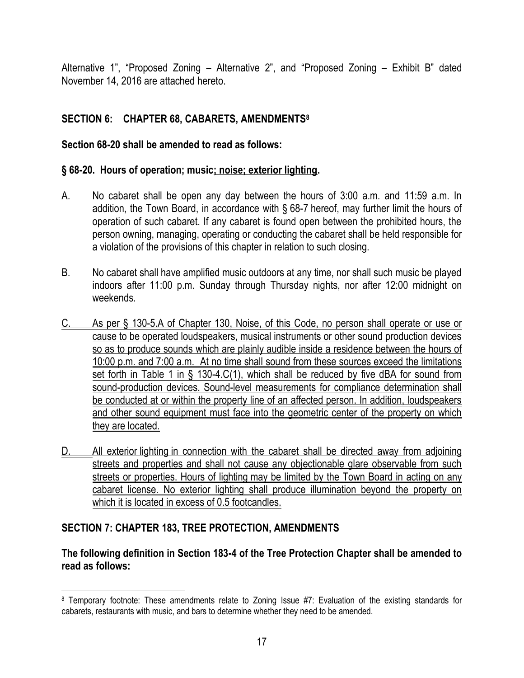Alternative 1", "Proposed Zoning – Alternative 2", and "Proposed Zoning – Exhibit B" dated November 14, 2016 are attached hereto.

# **SECTION 6: CHAPTER 68, CABARETS, AMENDMENTS<sup>8</sup>**

## **Section 68-20 shall be amended to read as follows:**

## **§ [68-20. Hours of operation; music; noise; exterior lighting.](http://www.ecode360.com/8407399#8407452)**

- A. No cabaret shall be open any day between the hours of 3:00 a.m. and 11:59 a.m. In addition, the Town Board, in accordance with § [68-7](http://www.ecode360.com/8407415#8407415) hereof, may further limit the hours of operation of such cabaret. If any cabaret is found open between the prohibited hours, the person owning, managing, operating or conducting the cabaret shall be held responsible for a violation of the provisions of this chapter in relation to such closing.
- B. No cabaret shall have amplified music outdoors at any time, nor shall such music be played indoors after 11:00 p.m. Sunday through Thursday nights, nor after 12:00 midnight on weekends.
- C. As per § 130-5.A of Chapter 130, Noise, of this Code, no person shall operate or use or cause to be operated loudspeakers, musical instruments or other sound production devices so as to produce sounds which are plainly audible inside a residence between the hours of 10:00 p.m. and 7:00 a.m. At no time shall sound from these sources exceed the limitations set forth in Table 1 in § 130-4.C(1), which shall be reduced by five dBA for sound from sound-production devices. Sound-level measurements for compliance determination shall be conducted at or within the property line of an affected person. In addition, loudspeakers and other sound equipment must face into the geometric center of the property on which they are located.
- D. All exterior lighting in connection with the cabaret shall be directed away from adjoining streets and properties and shall not cause any objectionable glare observable from such streets or properties. Hours of lighting may be limited by the Town Board in acting on any cabaret license. No exterior lighting shall produce illumination beyond the property on which it is located in excess of 0.5 footcandles.

# **SECTION 7: CHAPTER 183, TREE PROTECTION, AMENDMENTS**

## **The following definition in Section 183-4 of the Tree Protection Chapter shall be amended to read as follows:**

 $\overline{a}$ 8 Temporary footnote: These amendments relate to Zoning Issue #7: Evaluation of the existing standards for cabarets, restaurants with music, and bars to determine whether they need to be amended.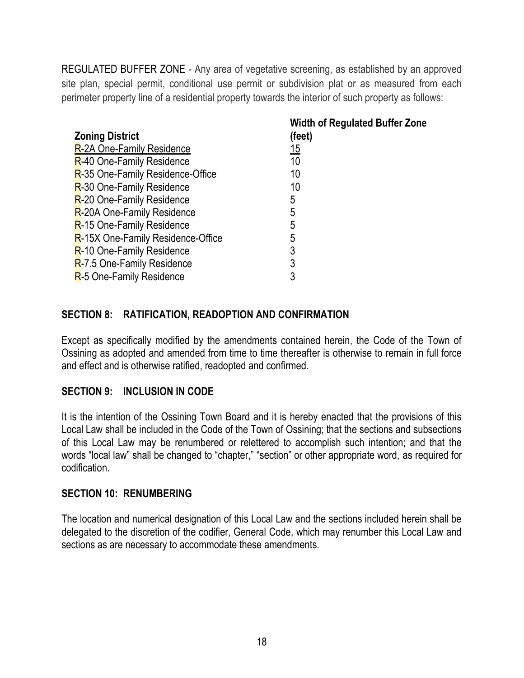[REGULATED BUFFER ZONE](http://www.ecode360.com/8410374#8410374) - Any area of vegetative screening, as established by an approved site plan, special permit, conditional use permit or subdivision plat or as measured from each perimeter property line of a residential property towards the interior of such property as follows:

|                                   | <b>Width of Regulated Buffer Zone</b> |
|-----------------------------------|---------------------------------------|
| <b>Zoning District</b>            | (feet)                                |
| R-2A One-Family Residence         | <u> 15</u>                            |
| R-40 One-Family Residence         | 10                                    |
| R-35 One-Family Residence-Office  | 10                                    |
| R-30 One-Family Residence         | 10                                    |
| R-20 One-Family Residence         | 5                                     |
| R-20A One-Family Residence        | 5                                     |
| R-15 One-Family Residence         | 5                                     |
| R-15X One-Family Residence-Office | 5                                     |
| R-10 One-Family Residence         | 3                                     |
| R-7.5 One-Family Residence        | 3                                     |
| R-5 One-Family Residence          | 3                                     |

## **SECTION 8: RATIFICATION, READOPTION AND CONFIRMATION**

Except as specifically modified by the amendments contained herein, the Code of the Town of Ossining as adopted and amended from time to time thereafter is otherwise to remain in full force and effect and is otherwise ratified, readopted and confirmed.

#### **SECTION 9: INCLUSION IN CODE**

It is the intention of the Ossining Town Board and it is hereby enacted that the provisions of this Local Law shall be included in the Code of the Town of Ossining; that the sections and subsections of this Local Law may be renumbered or relettered to accomplish such intention; and that the words "local law" shall be changed to "chapter," "section" or other appropriate word, as required for codification.

#### **SECTION 10: RENUMBERING**

The location and numerical designation of this Local Law and the sections included herein shall be delegated to the discretion of the codifier, General Code, which may renumber this Local Law and sections as are necessary to accommodate these amendments.